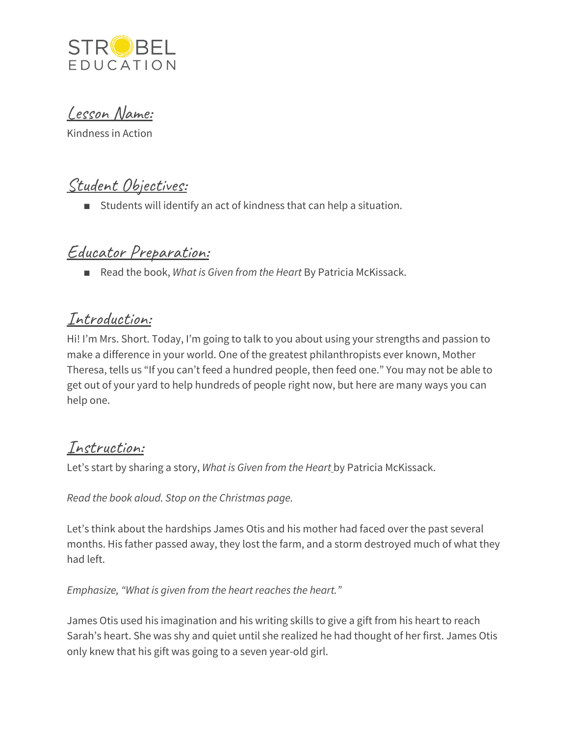

Lesson Name:

Kindness in Action

# Student Objectives:

■ Students will identify an act of kindness that can help a situation.

# Educator Preparation:

■ Read the book, *What is Given from the Heart By Patricia McKissack.* 

### Introduction:

Hi! I'm Mrs. Short. Today, I'm going to talk to you about using your strengths and passion to make a difference in your world. One of the greatest philanthropists ever known, Mother Theresa, tells us "If you can't feed a hundred people, then feed one." You may not be able to get out of your yard to help hundreds of people right now, but here are many ways you can help one.

# Instruction:

Let's start by sharing a story, *What is Given from the Heart* by Patricia McKissack.

*Read the book aloud. Stop on the Christmas page.*

Let's think about the hardships James Otis and his mother had faced over the past several months. His father passed away, they lost the farm, and a storm destroyed much of what they had left.

#### *Emphasize, "What is given from the heart reaches the heart."*

James Otis used his imagination and his writing skills to give a gift from his heart to reach Sarah's heart. She was shy and quiet until she realized he had thought of her first. James Otis only knew that his gift was going to a seven year-old girl.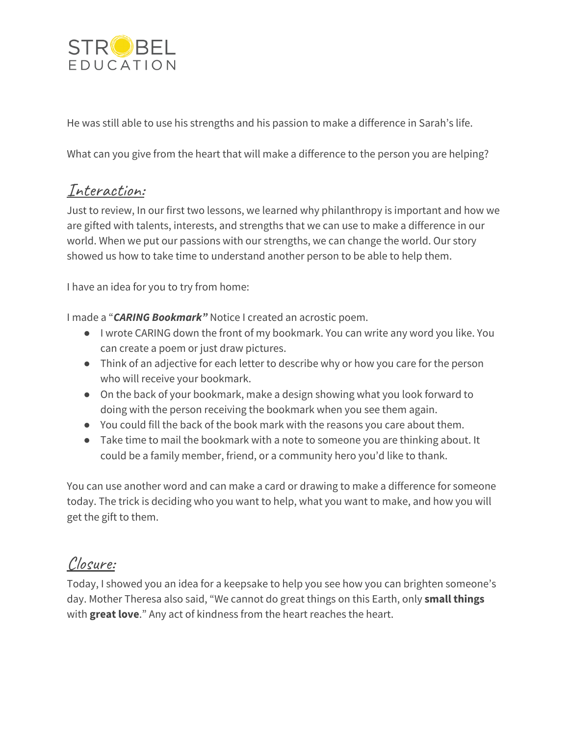

He was still able to use his strengths and his passion to make a difference in Sarah's life.

What can you give from the heart that will make a difference to the person you are helping?

### Interaction:

Just to review, In our first two lessons, we learned why philanthropy is important and how we are gifted with talents, interests, and strengths that we can use to make a difference in our world. When we put our passions with our strengths, we can change the world. Our story showed us how to take time to understand another person to be able to help them.

I have an idea for you to try from home:

I made a "*CARING Bookmark"* Notice I created an acrostic poem.

- I wrote CARING down the front of my bookmark. You can write any word you like. You can create a poem or just draw pictures.
- Think of an adjective for each letter to describe why or how you care for the person who will receive your bookmark.
- On the back of your bookmark, make a design showing what you look forward to doing with the person receiving the bookmark when you see them again.
- You could fill the back of the book mark with the reasons you care about them.
- Take time to mail the bookmark with a note to someone you are thinking about. It could be a family member, friend, or a community hero you'd like to thank.

You can use another word and can make a card or drawing to make a difference for someone today. The trick is deciding who you want to help, what you want to make, and how you will get the gift to them.

### Closure:

Today, I showed you an idea for a keepsake to help you see how you can brighten someone's day. Mother Theresa also said, "We cannot do great things on this Earth, only **small things** with **great love**." Any act of kindness from the heart reaches the heart.